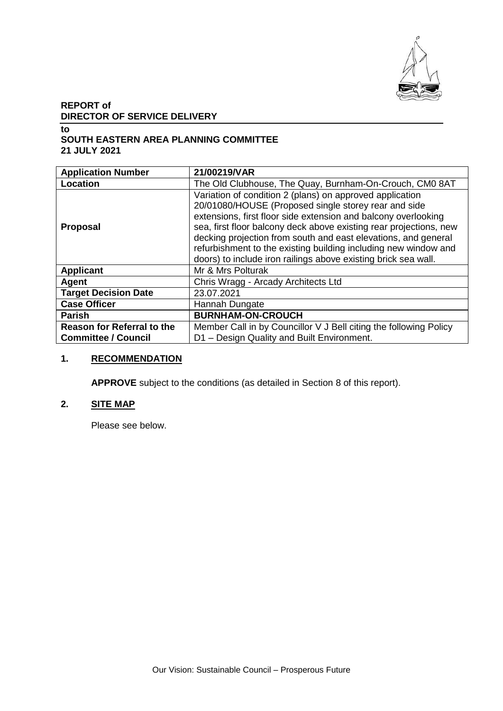

# **REPORT of DIRECTOR OF SERVICE DELIVERY**

#### **to SOUTH EASTERN AREA PLANNING COMMITTEE 21 JULY 2021**

| <b>Application Number</b>                                       | 21/00219/VAR                                                                                                                                                                                                                                                                                                                                                                                                                                                    |
|-----------------------------------------------------------------|-----------------------------------------------------------------------------------------------------------------------------------------------------------------------------------------------------------------------------------------------------------------------------------------------------------------------------------------------------------------------------------------------------------------------------------------------------------------|
| Location                                                        | The Old Clubhouse, The Quay, Burnham-On-Crouch, CM0 8AT                                                                                                                                                                                                                                                                                                                                                                                                         |
| <b>Proposal</b>                                                 | Variation of condition 2 (plans) on approved application<br>20/01080/HOUSE (Proposed single storey rear and side<br>extensions, first floor side extension and balcony overlooking<br>sea, first floor balcony deck above existing rear projections, new<br>decking projection from south and east elevations, and general<br>refurbishment to the existing building including new window and<br>doors) to include iron railings above existing brick sea wall. |
| <b>Applicant</b>                                                | Mr & Mrs Polturak                                                                                                                                                                                                                                                                                                                                                                                                                                               |
| Agent                                                           | Chris Wragg - Arcady Architects Ltd                                                                                                                                                                                                                                                                                                                                                                                                                             |
| <b>Target Decision Date</b>                                     | 23.07.2021                                                                                                                                                                                                                                                                                                                                                                                                                                                      |
| <b>Case Officer</b>                                             | Hannah Dungate                                                                                                                                                                                                                                                                                                                                                                                                                                                  |
| <b>Parish</b>                                                   | <b>BURNHAM-ON-CROUCH</b>                                                                                                                                                                                                                                                                                                                                                                                                                                        |
| <b>Reason for Referral to the</b><br><b>Committee / Council</b> | Member Call in by Councillor V J Bell citing the following Policy<br>D1 - Design Quality and Built Environment.                                                                                                                                                                                                                                                                                                                                                 |

## **1. RECOMMENDATION**

**APPROVE** subject to the conditions (as detailed in Section 8 of this report).

# **2. SITE MAP**

Please see below.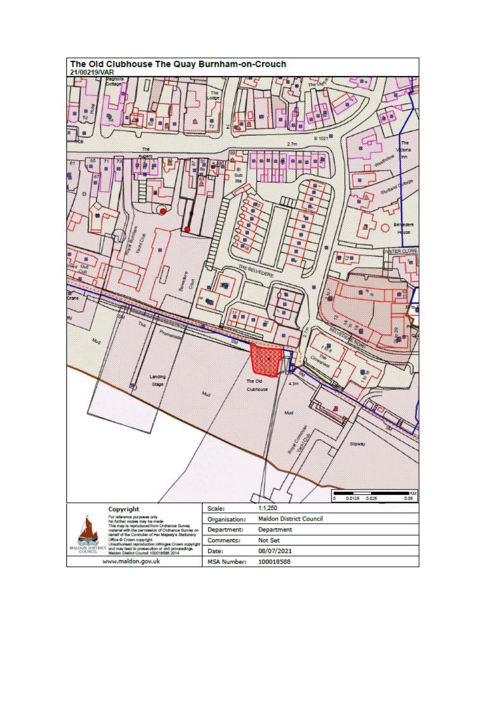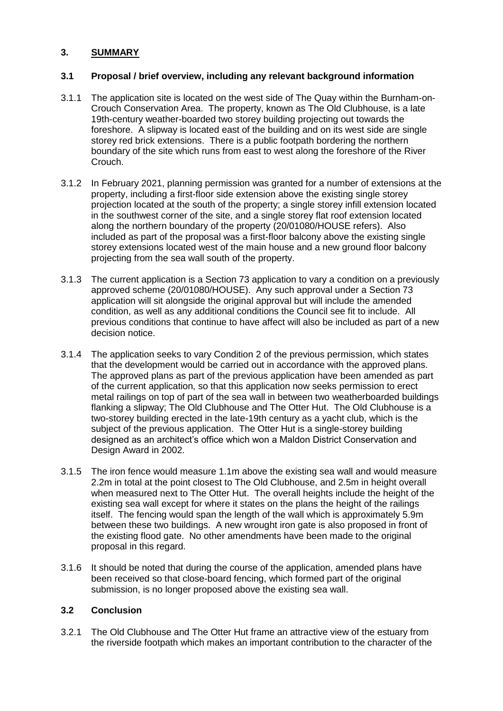## **3. SUMMARY**

#### **3.1 Proposal / brief overview, including any relevant background information**

- 3.1.1 The application site is located on the west side of The Quay within the Burnham-on-Crouch Conservation Area. The property, known as The Old Clubhouse, is a late 19th-century weather-boarded two storey building projecting out towards the foreshore. A slipway is located east of the building and on its west side are single storey red brick extensions. There is a public footpath bordering the northern boundary of the site which runs from east to west along the foreshore of the River Crouch.
- 3.1.2 In February 2021, planning permission was granted for a number of extensions at the property, including a first-floor side extension above the existing single storey projection located at the south of the property; a single storey infill extension located in the southwest corner of the site, and a single storey flat roof extension located along the northern boundary of the property (20/01080/HOUSE refers). Also included as part of the proposal was a first-floor balcony above the existing single storey extensions located west of the main house and a new ground floor balcony projecting from the sea wall south of the property.
- 3.1.3 The current application is a Section 73 application to vary a condition on a previously approved scheme (20/01080/HOUSE). Any such approval under a Section 73 application will sit alongside the original approval but will include the amended condition, as well as any additional conditions the Council see fit to include. All previous conditions that continue to have affect will also be included as part of a new decision notice.
- 3.1.4 The application seeks to vary Condition 2 of the previous permission, which states that the development would be carried out in accordance with the approved plans. The approved plans as part of the previous application have been amended as part of the current application, so that this application now seeks permission to erect metal railings on top of part of the sea wall in between two weatherboarded buildings flanking a slipway; The Old Clubhouse and The Otter Hut. The Old Clubhouse is a two-storey building erected in the late-19th century as a yacht club, which is the subject of the previous application. The Otter Hut is a single-storey building designed as an architect's office which won a Maldon District Conservation and Design Award in 2002.
- 3.1.5 The iron fence would measure 1.1m above the existing sea wall and would measure 2.2m in total at the point closest to The Old Clubhouse, and 2.5m in height overall when measured next to The Otter Hut. The overall heights include the height of the existing sea wall except for where it states on the plans the height of the railings itself. The fencing would span the length of the wall which is approximately 5.9m between these two buildings. A new wrought iron gate is also proposed in front of the existing flood gate. No other amendments have been made to the original proposal in this regard.
- 3.1.6 It should be noted that during the course of the application, amended plans have been received so that close-board fencing, which formed part of the original submission, is no longer proposed above the existing sea wall.

#### **3.2 Conclusion**

3.2.1 The Old Clubhouse and The Otter Hut frame an attractive view of the estuary from the riverside footpath which makes an important contribution to the character of the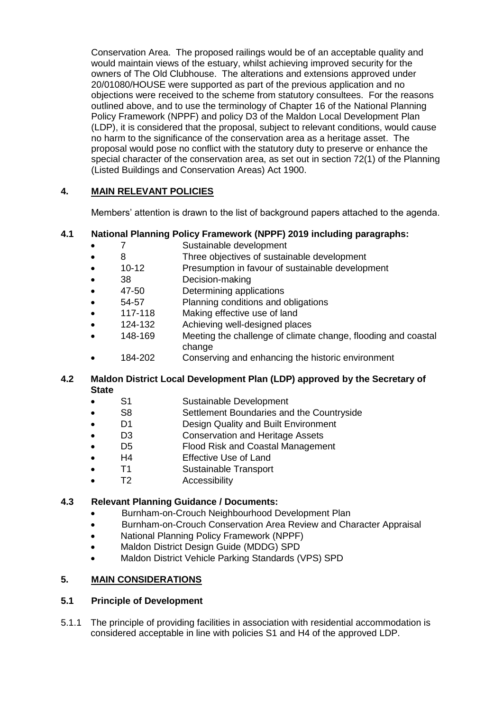Conservation Area. The proposed railings would be of an acceptable quality and would maintain views of the estuary, whilst achieving improved security for the owners of The Old Clubhouse. The alterations and extensions approved under 20/01080/HOUSE were supported as part of the previous application and no objections were received to the scheme from statutory consultees. For the reasons outlined above, and to use the terminology of Chapter 16 of the National Planning Policy Framework (NPPF) and policy D3 of the Maldon Local Development Plan (LDP), it is considered that the proposal, subject to relevant conditions, would cause no harm to the significance of the conservation area as a heritage asset. The proposal would pose no conflict with the statutory duty to preserve or enhance the special character of the conservation area, as set out in section 72(1) of the Planning (Listed Buildings and Conservation Areas) Act 1900.

## **4. MAIN RELEVANT POLICIES**

Members' attention is drawn to the list of background papers attached to the agenda.

#### **4.1 National Planning Policy Framework (NPPF) 2019 including paragraphs:**

- 7 Sustainable development
- 8 Three objectives of sustainable development
- 10-12 Presumption in favour of sustainable development
- 38 Decision-making
- 47-50 Determining applications
- 54-57 Planning conditions and obligations
- 117-118 Making effective use of land
- 124-132 Achieving well-designed places
- 148-169 Meeting the challenge of climate change, flooding and coastal change
- 184-202 Conserving and enhancing the historic environment

#### **4.2 Maldon District Local Development Plan (LDP) approved by the Secretary of State**

- S1 Sustainable Development
- S8 Settlement Boundaries and the Countryside
- D1 Design Quality and Built Environment
- D<sub>3</sub> Conservation and Heritage Assets
- D5 Flood Risk and Coastal Management
- H4 Effective Use of Land
- T1 Sustainable Transport
- T2 Accessibility

#### **4.3 Relevant Planning Guidance / Documents:**

- **•** Burnham-on-Crouch Neighbourhood Development Plan
- Burnham-on-Crouch Conservation Area Review and Character Appraisal
- National Planning Policy Framework (NPPF)
- Maldon District Design Guide (MDDG) SPD
- Maldon District Vehicle Parking Standards (VPS) SPD

# **5. MAIN CONSIDERATIONS**

#### **5.1 Principle of Development**

5.1.1 The principle of providing facilities in association with residential accommodation is considered acceptable in line with policies S1 and H4 of the approved LDP.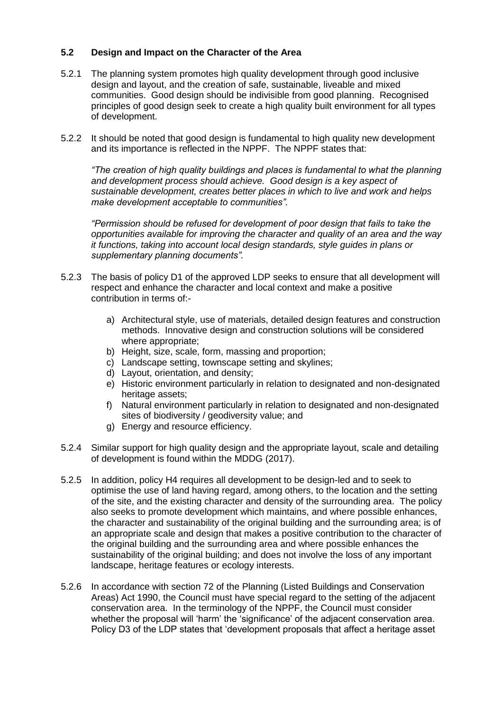#### **5.2 Design and Impact on the Character of the Area**

- 5.2.1 The planning system promotes high quality development through good inclusive design and layout, and the creation of safe, sustainable, liveable and mixed communities. Good design should be indivisible from good planning. Recognised principles of good design seek to create a high quality built environment for all types of development.
- 5.2.2 It should be noted that good design is fundamental to high quality new development and its importance is reflected in the NPPF. The NPPF states that:

*"The creation of high quality buildings and places is fundamental to what the planning and development process should achieve. Good design is a key aspect of sustainable development, creates better places in which to live and work and helps make development acceptable to communities".*

*"Permission should be refused for development of poor design that fails to take the opportunities available for improving the character and quality of an area and the way it functions, taking into account local design standards, style guides in plans or supplementary planning documents".*

- 5.2.3 The basis of policy D1 of the approved LDP seeks to ensure that all development will respect and enhance the character and local context and make a positive contribution in terms of:
	- a) Architectural style, use of materials, detailed design features and construction methods. Innovative design and construction solutions will be considered where appropriate;
	- b) Height, size, scale, form, massing and proportion;
	- c) Landscape setting, townscape setting and skylines;
	- d) Layout, orientation, and density;
	- e) Historic environment particularly in relation to designated and non-designated heritage assets;
	- f) Natural environment particularly in relation to designated and non-designated sites of biodiversity / geodiversity value; and
	- g) Energy and resource efficiency.
- 5.2.4 Similar support for high quality design and the appropriate layout, scale and detailing of development is found within the MDDG (2017).
- 5.2.5 In addition, policy H4 requires all development to be design-led and to seek to optimise the use of land having regard, among others, to the location and the setting of the site, and the existing character and density of the surrounding area. The policy also seeks to promote development which maintains, and where possible enhances, the character and sustainability of the original building and the surrounding area; is of an appropriate scale and design that makes a positive contribution to the character of the original building and the surrounding area and where possible enhances the sustainability of the original building; and does not involve the loss of any important landscape, heritage features or ecology interests.
- 5.2.6 In accordance with section 72 of the Planning (Listed Buildings and Conservation Areas) Act 1990, the Council must have special regard to the setting of the adjacent conservation area. In the terminology of the NPPF, the Council must consider whether the proposal will 'harm' the 'significance' of the adjacent conservation area. Policy D3 of the LDP states that 'development proposals that affect a heritage asset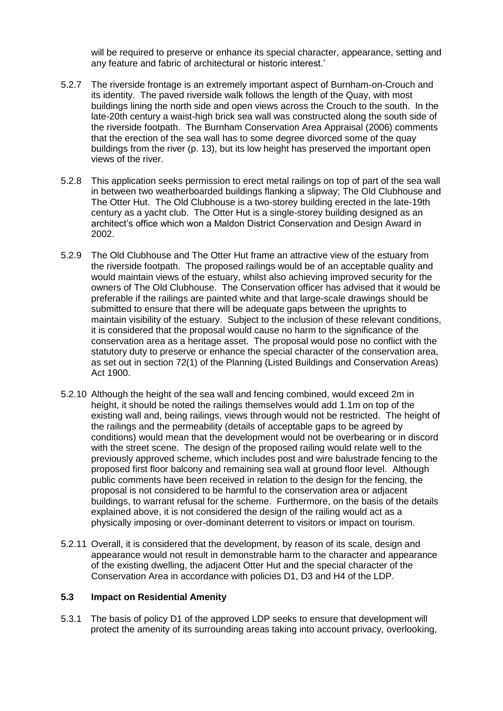will be required to preserve or enhance its special character, appearance, setting and any feature and fabric of architectural or historic interest.'

- 5.2.7 The riverside frontage is an extremely important aspect of Burnham-on-Crouch and its identity. The paved riverside walk follows the length of the Quay, with most buildings lining the north side and open views across the Crouch to the south. In the late-20th century a waist-high brick sea wall was constructed along the south side of the riverside footpath. The Burnham Conservation Area Appraisal (2006) comments that the erection of the sea wall has to some degree divorced some of the quay buildings from the river (p. 13), but its low height has preserved the important open views of the river.
- 5.2.8 This application seeks permission to erect metal railings on top of part of the sea wall in between two weatherboarded buildings flanking a slipway; The Old Clubhouse and The Otter Hut. The Old Clubhouse is a two-storey building erected in the late-19th century as a yacht club. The Otter Hut is a single-storey building designed as an architect's office which won a Maldon District Conservation and Design Award in 2002.
- 5.2.9 The Old Clubhouse and The Otter Hut frame an attractive view of the estuary from the riverside footpath. The proposed railings would be of an acceptable quality and would maintain views of the estuary, whilst also achieving improved security for the owners of The Old Clubhouse. The Conservation officer has advised that it would be preferable if the railings are painted white and that large-scale drawings should be submitted to ensure that there will be adequate gaps between the uprights to maintain visibility of the estuary. Subject to the inclusion of these relevant conditions, it is considered that the proposal would cause no harm to the significance of the conservation area as a heritage asset. The proposal would pose no conflict with the statutory duty to preserve or enhance the special character of the conservation area, as set out in section 72(1) of the Planning (Listed Buildings and Conservation Areas) Act 1900.
- 5.2.10 Although the height of the sea wall and fencing combined, would exceed 2m in height, it should be noted the railings themselves would add 1.1m on top of the existing wall and, being railings, views through would not be restricted. The height of the railings and the permeability (details of acceptable gaps to be agreed by conditions) would mean that the development would not be overbearing or in discord with the street scene. The design of the proposed railing would relate well to the previously approved scheme, which includes post and wire balustrade fencing to the proposed first floor balcony and remaining sea wall at ground floor level. Although public comments have been received in relation to the design for the fencing, the proposal is not considered to be harmful to the conservation area or adjacent buildings, to warrant refusal for the scheme. Furthermore, on the basis of the details explained above, it is not considered the design of the railing would act as a physically imposing or over-dominant deterrent to visitors or impact on tourism.
- 5.2.11 Overall, it is considered that the development, by reason of its scale, design and appearance would not result in demonstrable harm to the character and appearance of the existing dwelling, the adjacent Otter Hut and the special character of the Conservation Area in accordance with policies D1, D3 and H4 of the LDP.

#### **5.3 Impact on Residential Amenity**

5.3.1 The basis of policy D1 of the approved LDP seeks to ensure that development will protect the amenity of its surrounding areas taking into account privacy, overlooking,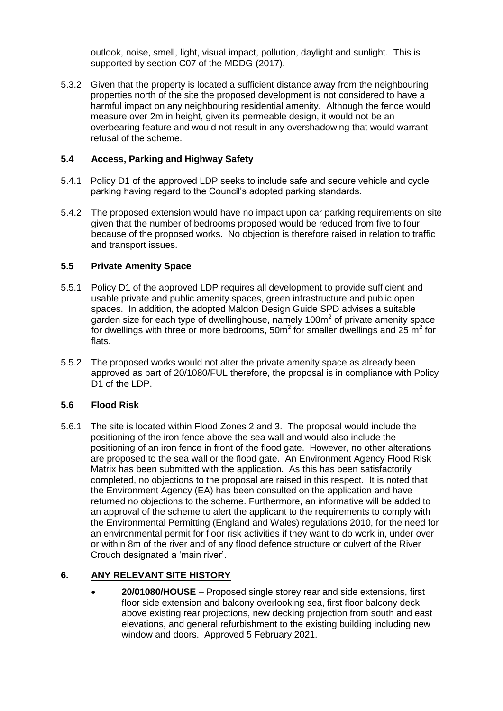outlook, noise, smell, light, visual impact, pollution, daylight and sunlight. This is supported by section C07 of the MDDG (2017).

5.3.2 Given that the property is located a sufficient distance away from the neighbouring properties north of the site the proposed development is not considered to have a harmful impact on any neighbouring residential amenity. Although the fence would measure over 2m in height, given its permeable design, it would not be an overbearing feature and would not result in any overshadowing that would warrant refusal of the scheme.

## **5.4 Access, Parking and Highway Safety**

- 5.4.1 Policy D1 of the approved LDP seeks to include safe and secure vehicle and cycle parking having regard to the Council's adopted parking standards.
- 5.4.2 The proposed extension would have no impact upon car parking requirements on site given that the number of bedrooms proposed would be reduced from five to four because of the proposed works. No objection is therefore raised in relation to traffic and transport issues.

#### **5.5 Private Amenity Space**

- 5.5.1 Policy D1 of the approved LDP requires all development to provide sufficient and usable private and public amenity spaces, green infrastructure and public open spaces. In addition, the adopted Maldon Design Guide SPD advises a suitable garden size for each type of dwellinghouse, namely 100 $m<sup>2</sup>$  of private amenity space for dwellings with three or more bedrooms, 50m<sup>2</sup> for smaller dwellings and 25 m<sup>2</sup> for flats.
- 5.5.2 The proposed works would not alter the private amenity space as already been approved as part of 20/1080/FUL therefore, the proposal is in compliance with Policy D<sub>1</sub> of the LDP.

#### **5.6 Flood Risk**

5.6.1 The site is located within Flood Zones 2 and 3. The proposal would include the positioning of the iron fence above the sea wall and would also include the positioning of an iron fence in front of the flood gate. However, no other alterations are proposed to the sea wall or the flood gate. An Environment Agency Flood Risk Matrix has been submitted with the application. As this has been satisfactorily completed, no objections to the proposal are raised in this respect. It is noted that the Environment Agency (EA) has been consulted on the application and have returned no objections to the scheme. Furthermore, an informative will be added to an approval of the scheme to alert the applicant to the requirements to comply with the Environmental Permitting (England and Wales) regulations 2010, for the need for an environmental permit for floor risk activities if they want to do work in, under over or within 8m of the river and of any flood defence structure or culvert of the River Crouch designated a 'main river'.

#### **6. ANY RELEVANT SITE HISTORY**

 **20/01080/HOUSE** – Proposed single storey rear and side extensions, first floor side extension and balcony overlooking sea, first floor balcony deck above existing rear projections, new decking projection from south and east elevations, and general refurbishment to the existing building including new window and doors. Approved 5 February 2021.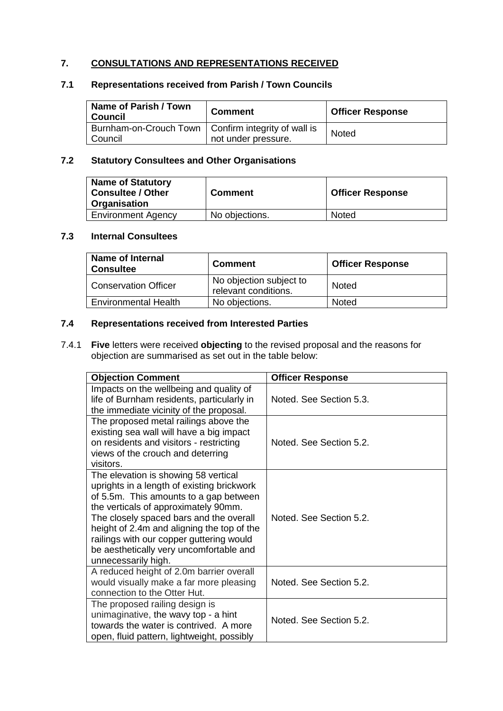# **7. CONSULTATIONS AND REPRESENTATIONS RECEIVED**

## **7.1 Representations received from Parish / Town Councils**

| Name of Parish / Town<br>' Council                                 | <b>Comment</b>      | <b>Officer Response</b> |
|--------------------------------------------------------------------|---------------------|-------------------------|
| Burnham-on-Crouch Town   Confirm integrity of wall is<br>I Council | not under pressure. | <b>Noted</b>            |

## **7.2 Statutory Consultees and Other Organisations**

| <b>Name of Statutory</b><br><b>Consultee / Other</b><br>Organisation | <b>Comment</b> | <b>Officer Response</b> |
|----------------------------------------------------------------------|----------------|-------------------------|
| <b>Environment Agency</b>                                            | No objections. | Noted                   |

## **7.3 Internal Consultees**

| <b>Name of Internal</b><br><b>Consultee</b> | <b>Comment</b>                                  | <b>Officer Response</b> |
|---------------------------------------------|-------------------------------------------------|-------------------------|
| <b>Conservation Officer</b>                 | No objection subject to<br>relevant conditions. | Noted                   |
| <b>Environmental Health</b>                 | No objections.                                  | Noted                   |

#### **7.4 Representations received from Interested Parties**

7.4.1 **Five** letters were received **objecting** to the revised proposal and the reasons for objection are summarised as set out in the table below:

| <b>Objection Comment</b>                                                                                                                                                                                                                                                                                                                                                    | <b>Officer Response</b> |
|-----------------------------------------------------------------------------------------------------------------------------------------------------------------------------------------------------------------------------------------------------------------------------------------------------------------------------------------------------------------------------|-------------------------|
| Impacts on the wellbeing and quality of<br>life of Burnham residents, particularly in<br>the immediate vicinity of the proposal.                                                                                                                                                                                                                                            | Noted. See Section 5.3. |
| The proposed metal railings above the<br>existing sea wall will have a big impact<br>on residents and visitors - restricting<br>views of the crouch and deterring<br>visitors.                                                                                                                                                                                              | Noted. See Section 5.2. |
| The elevation is showing 58 vertical<br>uprights in a length of existing brickwork<br>of 5.5m. This amounts to a gap between<br>the verticals of approximately 90mm.<br>The closely spaced bars and the overall<br>height of 2.4m and aligning the top of the<br>railings with our copper guttering would<br>be aesthetically very uncomfortable and<br>unnecessarily high. | Noted. See Section 5.2. |
| A reduced height of 2.0m barrier overall<br>would visually make a far more pleasing<br>connection to the Otter Hut.                                                                                                                                                                                                                                                         | Noted. See Section 5.2. |
| The proposed railing design is<br>unimaginative, the wavy top - a hint<br>towards the water is contrived. A more<br>open, fluid pattern, lightweight, possibly                                                                                                                                                                                                              | Noted. See Section 5.2. |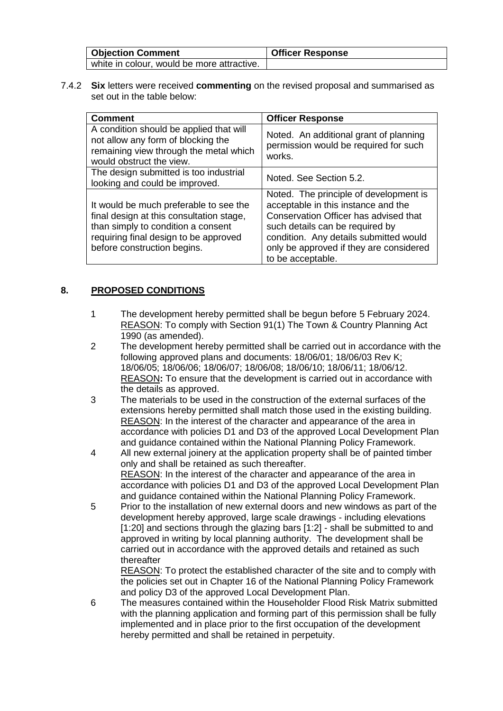| <b>Objection Comment</b>                   | <b>Officer Response</b> |
|--------------------------------------------|-------------------------|
| white in colour, would be more attractive. |                         |

7.4.2 **Six** letters were received **commenting** on the revised proposal and summarised as set out in the table below:

| <b>Comment</b>                                                                                                                                                                                   | <b>Officer Response</b>                                                                                                                                                                                                                                             |
|--------------------------------------------------------------------------------------------------------------------------------------------------------------------------------------------------|---------------------------------------------------------------------------------------------------------------------------------------------------------------------------------------------------------------------------------------------------------------------|
| A condition should be applied that will<br>not allow any form of blocking the<br>remaining view through the metal which<br>would obstruct the view.                                              | Noted. An additional grant of planning<br>permission would be required for such<br>works.                                                                                                                                                                           |
| The design submitted is too industrial<br>looking and could be improved.                                                                                                                         | Noted. See Section 5.2.                                                                                                                                                                                                                                             |
| It would be much preferable to see the<br>final design at this consultation stage,<br>than simply to condition a consent<br>requiring final design to be approved<br>before construction begins. | Noted. The principle of development is<br>acceptable in this instance and the<br>Conservation Officer has advised that<br>such details can be required by<br>condition. Any details submitted would<br>only be approved if they are considered<br>to be acceptable. |

## **8. PROPOSED CONDITIONS**

- 1 The development hereby permitted shall be begun before 5 February 2024. REASON: To comply with Section 91(1) The Town & Country Planning Act 1990 (as amended).
- 2 The development hereby permitted shall be carried out in accordance with the following approved plans and documents: 18/06/01; 18/06/03 Rev K; 18/06/05; 18/06/06; 18/06/07; 18/06/08; 18/06/10; 18/06/11; 18/06/12. REASON**:** To ensure that the development is carried out in accordance with the details as approved.
- 3 The materials to be used in the construction of the external surfaces of the extensions hereby permitted shall match those used in the existing building. REASON: In the interest of the character and appearance of the area in accordance with policies D1 and D3 of the approved Local Development Plan and guidance contained within the National Planning Policy Framework.
- 4 All new external joinery at the application property shall be of painted timber only and shall be retained as such thereafter. REASON: In the interest of the character and appearance of the area in accordance with policies D1 and D3 of the approved Local Development Plan and guidance contained within the National Planning Policy Framework.
- 5 Prior to the installation of new external doors and new windows as part of the development hereby approved, large scale drawings - including elevations [1:20] and sections through the glazing bars [1:2] - shall be submitted to and approved in writing by local planning authority. The development shall be carried out in accordance with the approved details and retained as such thereafter

REASON: To protect the established character of the site and to comply with the policies set out in Chapter 16 of the National Planning Policy Framework and policy D3 of the approved Local Development Plan.

6 The measures contained within the Householder Flood Risk Matrix submitted with the planning application and forming part of this permission shall be fully implemented and in place prior to the first occupation of the development hereby permitted and shall be retained in perpetuity.